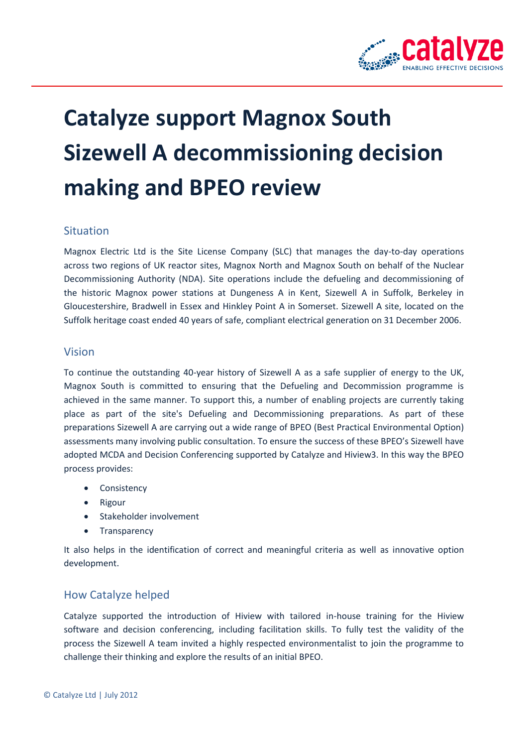

# **Catalyze support Magnox South Sizewell A decommissioning decision making and BPEO review**

#### **Situation**

Magnox Electric Ltd is the Site License Company (SLC) that manages the day-to-day operations across two regions of UK reactor sites, Magnox North and Magnox South on behalf of the Nuclear Decommissioning Authority (NDA). Site operations include the defueling and decommissioning of the historic Magnox power stations at Dungeness A in Kent, Sizewell A in Suffolk, Berkeley in Gloucestershire, Bradwell in Essex and Hinkley Point A in Somerset. Sizewell A site, located on the Suffolk heritage coast ended 40 years of safe, compliant electrical generation on 31 December 2006.

#### Vision

To continue the outstanding 40-year history of Sizewell A as a safe supplier of energy to the UK, Magnox South is committed to ensuring that the Defueling and Decommission programme is achieved in the same manner. To support this, a number of enabling projects are currently taking place as part of the site's Defueling and Decommissioning preparations. As part of these preparations Sizewell A are carrying out a wide range of BPEO (Best Practical Environmental Option) assessments many involving public consultation. To ensure the success of these BPEO's Sizewell have adopted MCDA and Decision Conferencing supported by Catalyze and Hiview3. In this way the BPEO process provides:

- Consistency
- Rigour
- Stakeholder involvement
- **Transparency**

It also helps in the identification of correct and meaningful criteria as well as innovative option development.

### How Catalyze helped

Catalyze supported the introduction of Hiview with tailored in-house training for the Hiview software and decision conferencing, including facilitation skills. To fully test the validity of the process the Sizewell A team invited a highly respected environmentalist to join the programme to challenge their thinking and explore the results of an initial BPEO.